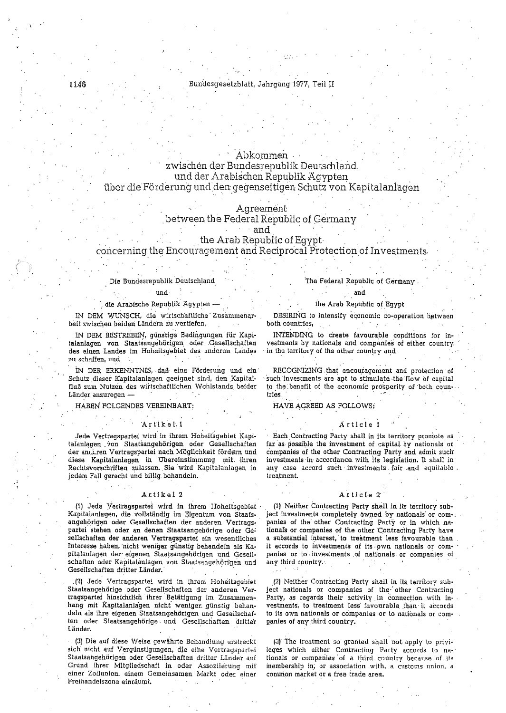# Abkommen zwischen der Bundesrepublik Deutschland. und der Arabischen Republik Ägypten über die Förderung und den gegenseitigen Schutz von Kapitalanlagen

# Agreement

# between the Federal Republic of Germany

and

# the Arab Republic of Egypt concerning the Encouragement and Reciprocal Protection of Investments

### Die Bundesrepublik Deutschland

# $\cdot$  –und  $\cdot$ die Arabische Republik Ägypten -

IN DEM WUNSCH, die wirtschaftliche Zusammenarbeit zwischen beiden Ländern zu vertiefen,

IN DEM BESTREBEN, günstige Bedingungen für Kapitalanlagen von Staatsangehörigen oder Gesellschaften des einen Landes im Hoheitsgebiet des anderen Landes zu schaffen, und

IN DER ERKENNTNIS, daß eine Förderung und ein Schutz dieser Kapitalanlagen geeignet sind, den Kapitalfluß zum Nutzen des wirtschaftlichen Wohlstands beider Länder anzuregen -

HABEN FOLGENDES VEREINBART:

#### Artikel 1

Jede Vertragspartei wird in ihrem Hoheitsgebiet Kapitalanlagen von Staatsangehörigen oder Gesellschaften der anckren Vertragspartei nach Möglichkeit fördern und diese Kapitalanlagen in Übereinstimmung mit ihren Rechtsvorschriften zulassen. Sie wird Kapitalanlagen in jedem Fall gerecht und billig behandeln.

#### Artikel 2

(1) Jede Vertragspartei wird in ihrem Hoheitsgebiet Kapitalanlagen, die vollständig im Eigentum von Staatsangehörigen oder Gesellschaften der anderen Vertragspartei stehen oder an denen Staatsangehörige oder Gesellschaften der anderen Vertragspartei ein wesentliches Interesse haben, nicht weniger günstig behandeln als Kapitalanlagen der eigenen Staatsangehörigen und Geseilschaften oder Kapitalanlagen von Staatsangehörigen und Gesellschaften dritter Länder.

(2) Jede Vertragspartei wird in ihrem Hoheitsgebiet Staatsangehörige oder Gesellschaften der anderen Vertragspartei hinsichtlich ihrer Betätigung im Zusammenhang mit Kapitalanlagen nicht weniger günstig behandeln als ihre eigenen Staatsangehörigen und Gesellschaften oder Staatsangehörige und Gesellschaften dritter Länder.

(3) Die auf diese Weise gewährte Behandlung erstreckt sich nicht auf Vergünstigungen, die eine Vertragspartei Staatsangehörigen oder Gesellschaften dritter Länder auf Grund ihrer Mitgliedschaft in oder Assoziierung mit einer Zollunion, einem Gemeinsamen Markt oder einer Freihandelszone einräumt.

The Federal Republic of Germany.

# $\mathop{\mathrm {and}}\nolimits$

### the Arab Republic of Egypt

DESIRING to intensify economic co-operation between both countries.

INTENDING to create favourable conditions for investments by nationals and companies of either country: in the territory of the other country and

RECOGNIZING that encouragement and protection of such investments are ant to stimulate the flow of capital to the benefit of the economic prosperity of both countries.

HAVE AGREED AS FOLLOWS:

### Article 1

Each Contracting Party shall in its territory promote as far as possible the investment of capital by nationals or companies of the other Contracting Party and admit such investments in accordance with its legislation. It shall in any case accord such investments fair and equitable. treatment.

# Article 2

(1) Neither Contracting Party shall in its territory subject investments completely owned by nationals or com-. panies of the other Contracting Party or in which nationals or companies of the other Contracting Party have a substantial interest, to treatment less favourable than it accords to investments of its own nationals or companies or to investments of nationals or companies of any third country.

(2) Neither Contracting Party shall in its territory subject nationals or companies of the other Contracting Party, as regards their activity in connection with investments, to treatment less favourable than it accords to its own nationals or companies or to nationals or companies of any third country.

(3) The treatment so granted shall not apply to privileges which either Contracting Party accords to nationals or companies of a third country because of its membership in, or association with, a customs union, a common market or a free trade area.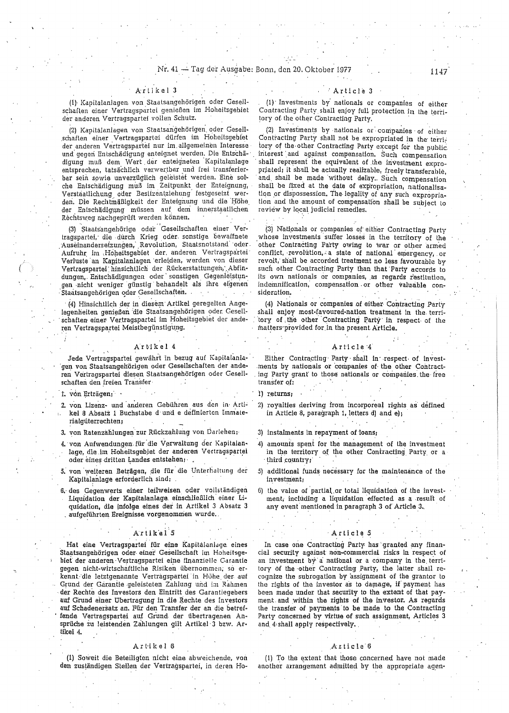# Artikel 3

(1) Kanitalanlagen von Staatsangehörigen oder Gesellschaften einer Vertragspartei genießen im Hoheitsgebiet der anderen Vertragspartei vollen Schutz.

(2) Kapitalanlagen von Staatsangehörigen oder Gesellschaften einer Vertragspartei dürfen im Hoheitsgebiet der anderen Vertragspartei nur im allgemeinen Interesse und gegen Entschädigung enteignet werden. Die Entschädigung muß dem Wert der enteigneten Kapitalanlage entsprechen, tatsächlich verwertbar und frei transferierbar sein sowie unverzüglich geleistet werden. Eine sol-<br>che Entschädigung muß im Zeitpunkt der Enteignung, Verstaatlichung oder Besitzentziehung festgesetzt werden. Die Rechtmäßigkeit der Enteignung und die Höhe der Entschädigung müssen auf dem innerstaatlichen Rechtsweg nachgeprüft werden können.

(3) Staatsangehörige oder Gesellschaften einer Vertragspartei, die durch Krieg oder sonstige bewaffnete Auseinandersetzungen, Revolution, Staatsnotstand oder Aufruhr im Hoheitsgebiet der anderen Vertragspartei Verluste an Kapitalanlagen erleiden, werden von dieser Vertragspartei hinsichtlich der Rückerstattungen, Abfindungen, Entschädigungen oder sonstigen Gegenleistungen nicht weniger günstig behandelt als ihre eigenen Staatsangehörigen oder Gesellschaften.

(4) Hinsichtlich der in diesem Artikel geregelten Angelegenheiten genießen die Staatsangehörigen oder Gesellschaften einer Vertragspartei im Hoheitsgebiet der anderen Vertragspartei Meistbegünstigung.

### Artikel 4

Jede Vertragspartei gewährt in bezug auf Kapitalaniagen von Staatsangehörigen oder Gesellschaften der anderen Vertragspartei diesen Staatsangehörigen oder Gesellschaften den freien Transfer-

1. von Erträgen, ·

2. von Lizenz- und anderen Gebühren aus den in Artikel 8 Absatz 1 Buchstabe d und e definierten Immaterialgüterrechten;

3. von Ratenzahlungen zur Rückzahlung von Darlehen;

- 4. von Aufwendungen für die Verwaltung der Kapitalanlage, die im Hoheitsgebiet der anderen Vertragspartei oder eines dritten Landes entstehen;
- 5. von weiteren Beträgen, die für die Unterhaltung der Kapitalanlage erforderlich sind;
- 6. des Gegenwerts einer teilweisen oder vollständigen Liquidation der Kapitalanlage einschließlich einer Liquidation, die infolge eines der in Artikel 3 Absatz 3 aufgeführten Ereignisse vorgenommen wurde.

### Artikel<sup>5</sup>

Hat eine Vertragspartei für eine Kapitalanlage eines Staatsangehörigen oder einer Gesellschaft im Hoheitsgebiet der anderen Vertragspartei eine finanzielle Garantie gegen nicht-wirtschaftliche Risiken übernommen, so erkennt die letztgenannte Verträgspartei in Höhe der auf Grund der Garantie geleisteten Zahlung und im Rahmen der Rechte des Investors den Eintritt des Garantiegebers auf Grund einer Ubertragung in die Rechte des Investors auf Schadenersatz an. Für den Transfer der an die betreffende Vertragspartei auf Grund der übertragenen Ansprüche zu leistenden Zahlungen gilt Artikel 3 bzw. Artikel 4.

#### Artikel 6

(1) Soweit die Beteiligten nicht eine abweichende, von den zuständigen Stellen der Vertragspartei, in deren Ho-

# Article 3

(1) Investments by nationals or companies of either Contracting Party shall enjoy full protection in the territory of the other Contracting Party,

(2) Investments by nationals or companies of either Contracting Party shall not be expropriated in the territory of the other Contracting Party except for the nublic. interest and against compensation. Such compensation shall represent the equivalent of the investment expropriated, it shall be actually realizable, freely transferable. and shall be made without delay. Such compensation shall be fixed at the date of expropriation, nationalisation or dispossession. The legality of any such expropriation and the amount of compensation shall be subject to review by local judicial remedies.

(3) Nationals or companies of either Contracting Party whose investments suffer losses in the territory of the other Contracting Party owing to war or other armed conflict, revolution, a state of national emergency, or revolt, shall be accorded treatment no less favourable by such other Contracting Party than that Party accords to its own nationals or companies, as regards restitution. indemnification, compensation or other valuable consideration.

(4) Nationals or companies of either Contracting Party shall enjoy most-favoured-nation treatment in the territory of the other Contracting Party in respect of the matters provided for in the present Article.

# Article 4

Either Contracting Party shall in respect of investments by nationals or companies of the other Contracting Party grant to those nationals or companies the free transfer of:

1) returns;

- 2) royalties deriving from incorporeal rights as defined in Article 8, paragraph 1, letters d) and e);
- $\mathcal{L}_{\text{max}}$  and  $\mathcal{L}_{\text{max}}$  and  $\mathcal{L}_{\text{max}}$
- 3) instalments in repayment of loans,
- 4) amounts spent for the management of the investment in the territory of the other Contracting Party or a third country;
- 5) additional funds necessary for the maintenance of the investment;
- 6) the value of partial or total liquidation of the investment, including a liquidation effected as a result of any event mentioned in paragraph 3 of Article 3.

# Article 5

In case one Contracting Party has granted any financial security against non-commercial risks in respect of an investment by a national or a company in the territory of the other Contracting Party, the latter shall recognize the subrogation by assignment of the grantor to the rights of the investor as to damage, if payment has been made under that security to the extent of that payment and within the rights of the investor. As regards the transfer of payments to be made to the Contracting Party concerned by virtue of such assignment, Articles 3 and 4 shall apply respectively.

#### Article 6

(1) To the extent that those concerned have not made another arrangement admitted by the appropriate agen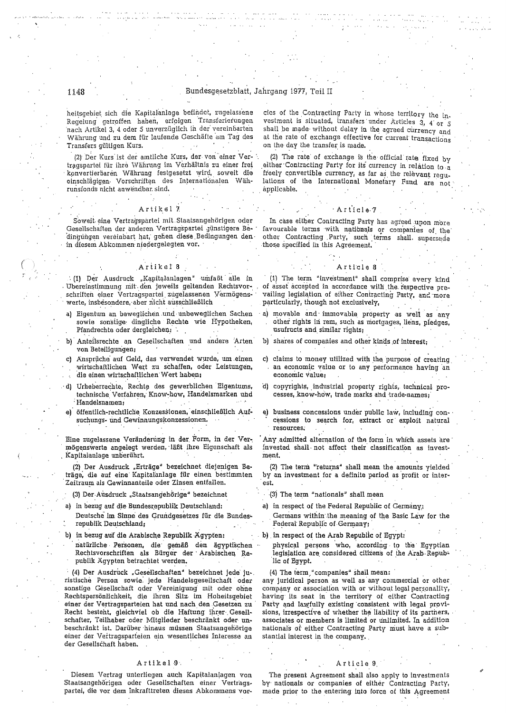heitsgebiet sich die Kapitalanlage befindet, zugelassene Regelung getroffen haben, erfolgen Transferierungen nach Artikel 3, 4 oder 5 unverzüglich in der vereinbarten Währung und zu dem für laufende Geschäfte am Tag des Transfers gültigen Kurs.

(2) Der Kurs ist der amtliche Kurs, der von einer Vertragspartei für ihre Währung im Verhältnis zu einer frei konvertierbaren Währung festgesetzt wird, soweit die einschlägigen Vorschriften des Internationalen Währunsfonds nicht anwendbar sind.

### Artikel 7

Soweit eine Vertragspartei mit Staatsangehörigen oder Gesellschaften der anderen Verträgspartei günstigere Bedingungen vereinbart hat, gehen diese Bedingungen den in diesem Abkommen niedergelegten vor.

### Artikel 8

: (1) Der Ausdruck "Kapitalanlagen" umfaßt alle in Ubereinstimmung mit den jeweils geltenden Rechtsvorschriften einer Vertragspartei zugelassenen Vermögenswerte, insbesondere, aber nicht ausschließlich

- a) Eigentum an beweglichen und unbeweglichen Sachen sowie sonstige dingliche Rechte wie Hypotheken, Pfandrechte oder dergleichen;
- b) Anteilsrechte an Gesellschaften und andere Arten von Beteiligungen;
- Ansprüche auf Geld, das verwendet wurde, um einen wirtschaftlichen Wert zu schaffen, oder Leistungen, die einen wirtschaftlichen Wert haben;
- Urheberrechte, Rechte des gewerblichen Eigentums, technische Verfahren, Know-how, Handelsmarken und Handelsnamen:
- e) öffentlich-rechtliche Konzessionen, einschließlich Aufsuchungs- und Gewinnungskonzessionen.

Eine zugelassene Veränderung in der Form, in der Vermögenswerte angelegt werden, läßt ihre Eigenschaft als Kapitalanlage unberührt.

(2) Der Ausdruck "Erträge" bezeichnet diejenigen Beträge, die auf eine Kapitalanlage für einen bestimmten Zeitraum als Gewinnanteile oder Zinsen entfallen.

(3) Der Ausdruck "Staatsangehörige" bezeichnet

- a) in bezug auf die Bundesrepublik Deutschland: Deutsche im Sinne des Grundgesetzes für die Bundesrepublik Deutschland;
- b) in bezug auf die Arabische Republik Ägypten: natürliche Personen, die gemäß den ägyptischen Rechtsvorschriften als Bürger der Arabischen Republik Ägypten betrachtet werden.

(4) Der Ausdruck "Gesellschaften" bezeichnet jede juristische Person sowie jede Handelsgesellschaft oder sonstige Gesellschaft oder Vereinigung mit oder ohne Rechtspersönlichkeit, die ihren Sitz im Hoheitsgebiet einer der Vertragsparteien hat und nach den Gesetzen zu Recht besteht, gleichviel ob die Haftung ihrer Gesellschafter, Teilhaber oder Mitglieder beschränkt oder unbeschränkt ist. Darüber hinaus müssen Staatsangehörige einer der Vertragsparteien ein wesentliches Interesse an der Gesellschaft haben.

#### Artikel 9.

Diesem Vertrag unterliegen auch Kapitalanlagen von Staatsangehörigen oder Gesellschaften einer Vertragspartei, die vor dem Inkrafttreten dieses Abkommens vorcies of the Contracting Party in whose territory the investment is situated, transfers under Articles 3, 4 or 5 shall be made without delay in the agreed currency and at the rate of exchange effective for current transactions on the day the transfer is made.

(2) The rate of exchange is the official rate fixed by either Contracting Party for its currency in relation to a freely convertible currency, as far as the relevant requlations of the International Monetary Fund are not àpplicable.

### Article 7

In case either Contracting Party has agreed upon more favourable terms with nationals or companies of the other Contracting Party, such terms shall supersede those specified in this Agreement.

#### Article 8

(1) The term "investment" shall comprise every kind of asset accepted in accordance with the respective prevailing legislation of either Contracting Party, and more particularly, though not exclusively,

- movable and immovable property as well as any other rights in rem, such as mortgages, liens, pledges, usufructs and similar rights;
- b) shares of companies and other kinds of interest:
- c) claims to money utilized with the purpose of creating an economic value or to any performance having an economic value;
- d) copyrights, industrial property rights, technical processes, know-how, trade marks and trade-names,
- e) business concessions under public law, including concessions to search for, extract or exploit natural resources.

Any admitted alternation of the form in which assets are invested shall not affect their classification as investment.

(2) The term "returns" shall mean the amounts yielded by an investment for a definite period as profit or interest.

- (3) The term "nationals" shall mean
- a) in respect of the Federal Republic of Germany; Germans within the meaning of the Basic Law for the Federal Republic of Germany;
- b) in respect of the Arab Republic of Egypt: physical persons who, according to the Egyptian legislation are considered citizens of the Arab Republic of Eqypt.

(4) The term "companies" shall mean:

any juridical person as well as any commercial or other company or association with or without legal personality, having its seat in the territory of either Contracting Party and lawfully existing consistent with legal provisions, irrespective of whether the liability of its partners, associates or members is limited or unlimited. In addition nationals of either Contracting Party must have a substantial interest in the company.

# Article 9.

The present Agreement shall also apply to investments by nationals or companies of either Contracting Party, made prior to the entering into force of this Agreement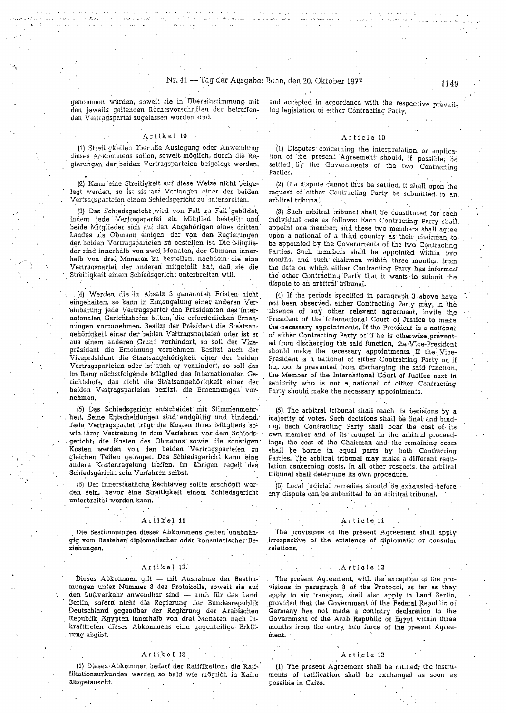genommen wurden, soweit sie in Übereinstimmung mit den jeweils geltenden Rechtsvorschriften der betreffenden Vertragspartei zugelassen worden sind.

#### Artikel 10

(1) Streitigkeiten über die Auslegung oder Anwendung dieses Abkommens sollen, soweit möglich, durch die Regierungen der beiden Vertragsparteien beigelegt werden.

(2) Kann eine Streitigkeit auf diese Weise nicht beigelegt werden, so ist sie auf Verlangen einer der beiden Vertragspartelen einem Schiedsgericht zu unterbreiten.

(3) Das Schiedsgericht wird von Fall zu Fall gebildet, indem jede Vertragspartei ein Mitglied bestellt und beide Mitglieder sich auf den Angehörigen eines dritten Landes als Obmann einigen, der von den Regierungen der beiden Vertragsparteien zu bestellen ist. Die Mitglieder sind innerhalb von zwei Monaten, der Obmann innerhalb von drei Monaten zu bestellen, nachdem die eine Vertragspartei der anderen mitgeteilt hat, daß sie die Streitigkeit einem Schiedsgericht unterbreiten will.

(4) Werden die in Absatz 3 genannten Fristen nicht eingehalten, so kann in Ermangelung einer anderen Vereinbarung jede Vertragspartet den Präsidenten des Internaionalen Gerichtshofes bitten, die erforderlichen Ernennungen vorzunehmen. Besitzt der Präsident die Staatsangehörigkeit einer der beiden Vertragsparteien oder ist er aus einem anderen Grund verhindert, so soll der Vizepräsident die Ernennung vornehmen. Besitzt auch der Vizepräsident die Staatsangehörigkeit einer der beiden Vertragsparteien oder ist auch er verhindert, so soll das im Rang nächstfolgende Mitglied des Internationalen Gerichtshofs, das nicht die Staatsangehörigkeit einer der beiden Vertragsparteien besitzt, die Ernennungen vornehmen.

(5) Das Schiedsgericht entscheidet mit Stimmenmehrheit. Seine Entscheidungen sind endgültig und bindend. Jede Vertragspartei trägt die Kosten ihres Mitglieds sowie ihrer Vertretung in dem Verfahren vor dem Schiedsgericht; die Kosten des Obmanns sowie die sonstigen · Kosten werden von den beiden Vertragsparteien zu gleichen Teilen getragen. Das Schiedsgericht kann eine andere Kostenregelung treffen. Im übrigen regelt das Schiedsgéricht sein Verfahren selbst.

(6) Der innerstaatliche Rechtsweg sollte erschöpft worden sein, bevor eine Streitigkeit einem Schiedsgericht unterbreitet werden kann.

#### Artikel 11

Die Bestimmungen dieses Abkommens gelten unabhängig vom Bestehen diplomatischer oder konsularischer Beziehungen.

# Artikel 12.

Dieses Abkommen gilt - mit Ausnahme der Bestimmungen unter Nummer 8 des Protokolls, soweit sie auf den Luftverkehr anwendbar sind - auch für das Land Berlin, sofern nicht die Regierung der Bundesrepublik Deutschland gegenüber der Regierung der Arabischen Republik Ägypten innerhalb von drei Monaten nach Inkrafttreten dieses Abkommens eine gegenteilige Erklärung abgibt.

### Artikel 13

(1) Dieses Abkommen bedarf der Ratifikation; die Ratifikationsurkunden werden so bald wie möglich in Kairo ausgetauscht.

and accepted in accordance with the respective prevailing legislation of either Contracting Party.

### Article 10

(1) Disputes concerning the interpretation or application of the present Agreement should, if possible, be settled by the Governments of the two Contracting Parties.

(2) If a dispute cannot thus be settled, it shall upon the request of either Contracting Party be submitted to an. arbitral tribunal.

(3) Such arbitral tribunal shall be constituted for each individual case as follows: Each Contracting Party shall. appoint one member, and these two members shall agree upon a national of a third country as their chairman to be appointed by the Governments of the two Contracting Parties. Such members shall be appointed within two months, and such chairman within three months, from the date on which either Contracting Party has informed the other Contracting Party that it wants to submit the dispute to an arbitral tribunal.

(4) If the periods specified in paragraph 3 above have not been observed, either Contracting Party may, in the absence of any other relevant agreement, invite the President of the International Court of Justice to make the necessary appointments. If the President is a national of either Contracting Party or if he is otherwise prevented from discharging the said function, the Vice-President should make the necessary appointments. If the Vice-President is a national of either Contracting Party or if he, too, is prevented from discharging the said function, the Member of the International Court of Justice next in seniority who is not a national of either Contracting Party should make the necessary appointments.

(5) The arbitral tribunal shall reach its decisions by a majority of votes. Such decisions shall be final and binding. Each Contracting Party shall bear the cost of its own member and of its counsel in the arbitral proceedings, the cost of the Chairman and the remaining costs shall be borne in equal parts by both Contracting Parties. The arbitral tribunal may make a different requlation concerning costs. In all other respects, the arbitral tribunal shall determine its own procedure.

(6) Local judicial remedies should be exhausted before any dispute can be submitted to an arbitral tribunal.

#### Article 1î

The provisions of the present Agreement shall apply irrespective of the existence of diplomatic or consular relations.

### Article 12

The present Agreement, with the exception of the provisions in paragraph 8 of the Protocol, as far as they apply to air transport, shall also apply to Land Berlin, provided that the Government of the Federal Republic of Germany has not made a contrary declaration to the Government of the Arab Republic of Egypt within three months from the entry into force of the present Agreement.

# Article 13

(1) The present Agreement shall be ratified; the instruments of ratification shall be exchanged as soon as possible in Cairo.

1149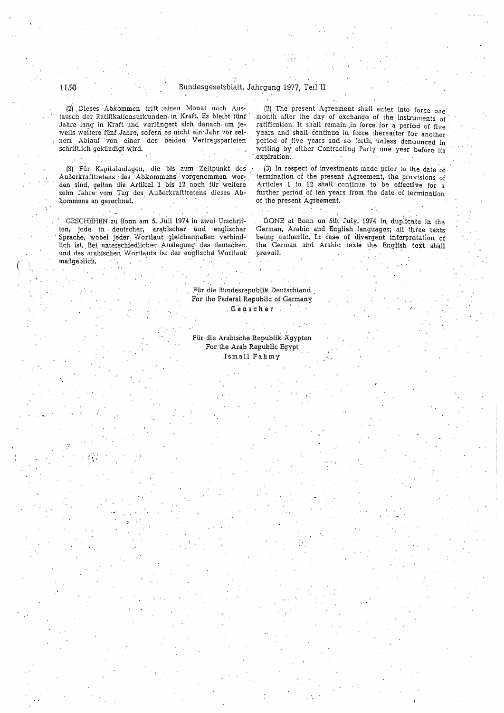(2) Dieses Abkommen tritt einen Monat nach Austausch der Ratifikationsurkunden in Kraft. Es bleibt fünf Jahre lang in Kraft und verlängert sich danach um jeweils weitere fünf Jahre, sofern es nicht ein Jahr vor seinem Ablauf von einer der beiden Vertragsparteien schriftlich gekündigt wird.

(3) Für Kapitalanlagen, die bis zum Zeitpunkt des Außerkrafttretens des Abkommens vorgenommen worden sind, gelten die Artikel 1 bis 12 noch für weitere zehn Jahre vom Taq des Außerkrafttretens dieses Abkommens an gerechnet.

GESCHEHEN zu Bonn am 5. Juli 1974 in zwei Urschriften, jede in deutscher, arabischer und englischer Sprache, wobei jeder Wortlaut gleichermaßen verbindlich ist. Bei unterschiedlicher Auslegung des deutschen. und des arabischen Wortlauts ist der englische Wortlaut maßgeblich.

(2) The present Agreement shall enter into force one month after the day of exchange of the instruments of ratification. It shall remain in force for a period of five years and shall continue in force thereafter for another period of five years and so forth, unless denounced in writing by either Contracting Party one year before its expiration.

(3) In respect of investments made prior to the date of termination of the present Agreement, the provisions of Articles 1 to 12 shall continue to be effective for a further period of ten years from the date of termination of the present Agreement.

DONE at Bonn on 5th July, 1974 in duplicate in the German, Arabic and English languages; all three texts<br>being authentic. In case of divergent interpretation of the German and Arabic texts the English text shall prevail.

# Für die Bundesrepublik Deutschland For the Federal Republic of Germany Genscher.

# Für die Arabische Republik Ägypten For the Arab Republic Egypt Ismail Fahmy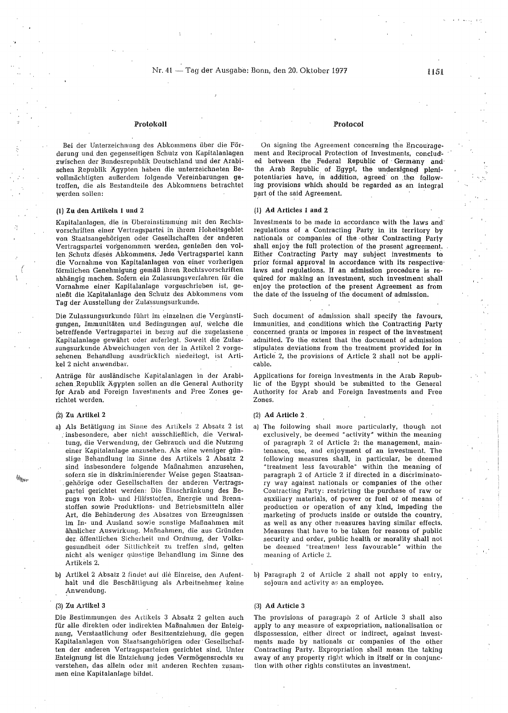### Protokoll

Bei der Unterzeichnung des Abkommens über die Förderung und den gegenseitigen Schutz von Kapitalanlagen zwischen der Bundesrepublik Deutschland und der Arabischen Republik Ägypten haben die unterzeichneten Bevolhnachtigten auBerdem folgende Vereinbarungen getroffen, die als Bestandteile des Abkommens betrachtet werden sollen:

# (1) Zu den Artikeln 1 uud 2

Kapitalanlagen, die in Dbereinstimmung mit den Rechtsvorschriften einer Vertragspartei in ihrem Hoheitsgebiet von Staatsangehörigen oder Gesellschaften der anderen Vertragspartei vor'genommen werden, genjeBen den vollen Schutz dieses Abkommens. Jede Vertragspartei kann die Vornahme von Kapitalanlagen von einer vorherigen förmlichen Genehmigung gemäß ihren Rechtsvorschriften abhangig machen. Sofern ein Zulassungsverfahren fiir die Vornahme einer Kapitalanlage vorgeschrieben ist, genieBt die Kapitalanlage den Schutz des Abkommens vom Tag der Ausstellung der Zulassungsurkunde.

Die Zulassungsurkunde führt im einzelnen die Vergunstigungen, Immunitäten und Bedingungen auf, welche die betreffende Vertragspartei in bezug auf die zugelassene Kapitalanlage gewahrt oder auferlegt. Soweil die Zulassungsurkunde Abweichungen von der in Artikel 2 vorgesehenen Behandlung ausdrücklich niederlegt, ist Artikel 2 nicht anwendbar.

Anträge für ausländische Kapitalanlagen in der Arabischen Republik Ägypten sollen an die General Authority for Arab and Foreign Investments and Free Zones gerichtet werden.

#### (2) Zu Artikel 2

tiyar

- a) Als Betätigung im Sinne des Artikels 2 Absatz 2 ist insbesondere, aber nicht ausschließlich, die Verwaltung, die Verwendung, der Gebrauch und die Nutzung einer Kapitalanlage anzusehen. Als eine weniger günstige Behandlung im Sinne des Artikels 2 Absatz 2 sind insbesondere folgende Maßnahmen anzusehen, sofern sie in diskriminierender Weise gegen Staatsan-.gehörige oder Gesellschatten der anderen Vertragspartei gerichtet werden: Die Einschränkung des Bezugs von Roh- und Hilfsstoffen, Energie und Brennstoffen sowie Produktions· und Betriebsmitteln aller Art, die Behinderung des Absatzes von Erzeugnissen im In- und Ausland sowie sonstige Maßnahmen mit ahnlicher Auswirkung. MaBnahmen, die aus Griinden der. öffentlichen Sicherheit und Ordnung, der Volksgesundheit dder Sittlichkeit zu treffen sind, gelten nicht als weniger qunstige Behandlung im Sinne des Artikels 2.
- b) Artikel 2 Absatz 2 findet aui die Einreise, den Aufenthalt und die Beschatligung als Arbeitnehmer keine Anwendung.

# (3) Zu Artikel 3

Die Bestimmungen des Artikels 3 Absatz 2 gelten auch für alle direkten oder indirekten Maßnahmen der Enteignung, Verstaatlichung oder Besitzentziehung, die gegen Kapitalanlagen von Staatsangehörigen oder Gesellschaften der anderen Vertragsparteien gerichtet sind. Unter Enteignung ist die Entziehung jedes Vermögensrechts zu verstehen, das allein oder mit anderen Rechten zusammen eine Kapitalanlage bildet.

#### Protocol

On signing the Agreement concerning the Encouragement and Reciprocal Protection of Investments, concluded between the Federal Republic of Germany and the Arab Republic of Egypt, the undersigned plenipotentiaries have, in addition, agreed on the following provisions which should be regarded as an integral part of the said Agreement.

### (1) Ad Articles 1 and 2

Investments to be made in accordance with the laws and' regulations of a Contracting Party in its territory by nationals or companies of the, other Contracting Party shall enjoy the full protection of the present agreement. Either Contracting Party may subject investments to prior formal approval in accordance with its respective laws and regulations. If an admission procedure is required for making an investment, such investment shall enjoy the protection of the present Agreement as from the date of the issueing of the document of admission.

Such document of admission shall specify the favours, immunities, and conditions which the Contracting Party concerned grants or imposes in'respect of the investment admitted. To the extent that the document of admission stipulates deviations from the treatment provided for in Article 2, the provisions of Article 2 shall not be applicable.

Applications for foreign investments in the Arab Republic of the Egypt should be submitted to the General Authority for Arab and Foreign Investments and Free Zones.

- (2) Ad Article 2 ,
- al The following shall more particularly, though not exclusively, be deemed "activity" within the meaning of paragraph 2 of Article 2: the management, maintenance, use, and enjoyment of an investment. The following measures shall, in particular, be deemed "treatment less favourable" within the meaning of paragraph 2 of Article 2 if directed in a discriminatory way against nationals or companies of the other Contracting Party: restricting the' purchase of raw or auxiliary materials, of power or fuel or of means of production or operation of any kind, impeding the marketing of products inside or outside the country, as well as any other measures having similar effects. Measures that have to be taken for reasons of public security and order, public health or morality shall not be deemed "treatment less favourable" within the meaning of Article 2.
- b) Paragraph 2 of Article 2 shall not apply to entry, sojourn and activity as an employee.

# (3) Ad Article 3

The provisions of paragraph 2 of Article 3 shall also apply to any measure of expropriation, nationalisation or dispossession, either direct or indirect, against investments made by nationals or companies of the other Contracting Party. Expropriation shall mean the taking away of any property right which in itself or in conjunction with other rights constitutes an investment.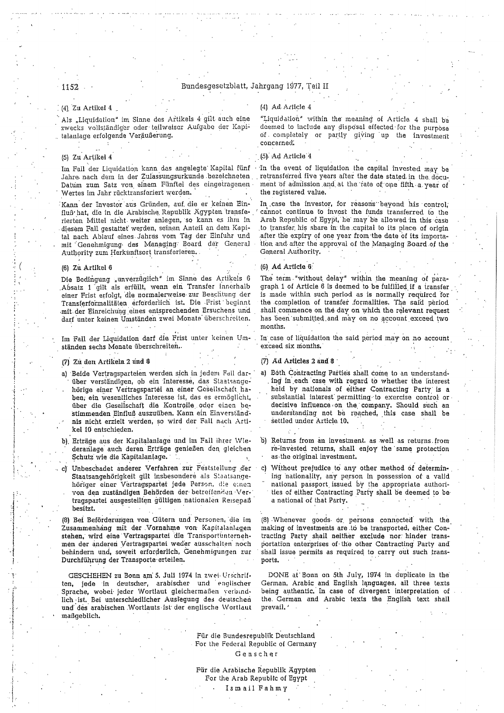### (4) Zu Artikel 4

Als "Liquidation" im Sinne des Artikels 4 gilt auch eine zwecks vollständiger oder teilweiser Aufgabe der Kapitalanlage erfolgende Veräußerung.

### (5) Zu Artikel 4

Im Fall der Liquidation kann das angelegte Kapital fünf Jahre nach dem in der Zulassungsurkunde bezeichneten Datum zum Satz von einem Fünftel des eingetragenen Wertes im Jahr rücktransferiert werden.

Kann der Investor aus Gründen, auf die er keinen Einfluß hat, die in die Arabische Republik Ägypten transferierten Mittel nicht weiter anlegen, so kann es ihm in diesem Fall gestattet werden, seinen Anteil an dem Kapital nach Ablauf eines Jahres vom Tag der Einfuhr und mit Genehmigung des Managing Board der General Authority zum Herkunftsort transferieren.

### (6) Zu Artikel 6

Die Bedingung "unverzüglich" im Sinne des Artikels 6 Absatz 1 gilt als erfüllt, wenn ein Transfer innerhalb einer Frist erfolgt, die normalerweise zur Beachtung der Transferformalitäten erforderlich ist. Die Frist beginnt mit der Einreichung eines entsprechenden Ersuchens und darf unter keinen Umständen zwei Monate überschreiten.

Im Fall der Liquidation darf die Frist unter keinen Umständen sechs Monate überschreiten.

# (7) Zu den Artikeln 2 und 8

- a) Beide Vertragsparteien werden sich in jedem Fall darüber verständigen, ob ein Interesse, das Staatsangehörige einer Vertragspartei an einer Gesellschaft haben, ein wesentliches Interesse ist, das es ermöglicht, über die Gesellschaft die Kontrolle oder einen bestimmenden Einfluß auszuüben. Kann ein Einverständnis nicht erzielt werden, so wird der Fall nach Artikel 10 entschieden.
- b). Erträge aus der Kapitalanlage und im Fall ihrer Wiederanlage auch deren Erträge genießen den gleichen Schutz wie die Kapitalanlage.
- c) Unbeschadet anderer Verfahren zur Feststellung der Staatsangehörigkeit gilt insbesondere als Staatsangehöriger einer Vertragspartet jede Person, die einen von den zuständigen Behörden der betreffenden Vertragspartei ausgestellten gültigen nationalen Reisepaß besitzt.

(8) Bei Beförderungen von Gütern und Personen, die im Zusammenhang mit der Vornahme von Kapitalanlagen stehen, wird eine Vertragspartei die Transportunternehmen der anderen Vertragspartei weder ausschalten noch behindern und, soweit erforderlich, Genehmigungen zur Durchführung der Transporte erteilen.

GESCHEHEN zu Bonn am 5. Juli 1974 in zwei Urschriften, jede in deutscher, arabischer und englischer Sprache, wobei jeder Wortlaut gleichermaßen verbindlich ist. Bei unterschiedlicher Auslegung des deutschen und des arabischen Wortlauts ist der englische Wortlaut maßgeblich.

### (4) Ad Article 4

"Liquidation" within the meaning of Article 4 shall be deemed to include any disposal effected for the purpose of completely or partly giving up the investment concerned.

### (5) Ad Article 4

In the event of liquidation the capital invested may be retransferred five years after the date stated in the document of admission and at the rate of one fifth a year of the registered value.

In case the investor, for reasons beyond his control. cannot continue to invest the funds transferred to the Arab Republic of Egypt, he may be allowed in this case to transfer his share in the capital to its place of origin after the expiry of one year from the date of its importation and after the approval of the Managing Board of the General Authority.

### (6) Ad Article 6:

The term "without delay" within the meaning of paragraph 1 of Article 6 is deemed to be fulfilled if a transfer is made within such period as is normally required for the completion of transfer formalities. The said period shall commence on the day on which the relevant request has been submitted and may on no account exceed two months.

In case of liquidation the said period may on no account exceed six months.

#### (7) Ad Articles 2 and 8

- a) Both Contracting Parties shall come to an understanding in each case with regard to whether the interest held by nationals of either Contracting Party is a substantial interest permitting to exercise control or decisive influence on the company. Should such an understanding not be reached, this case shall be settled under Article 10.
- b) Returns from an investment, as well as returns from re-invested returns, shall enjoy the same protection as the original investment.
- Without prejudice to any other method of determinc) ing nationality, any person in possession of a valid national passport issued by the appropriate authorities of either Contracting Party shall be deemed to be a national of that Party.

(8) Whenever goods or persons connected with the making of investments are to be transported, either Contracting Party shall neither exclude nor hinder transportation enterprises of the other Contracting Party and shall issue permits as required to carry out such transports.

DONE at Bonn on 5th July, 1974 in duplicate in the German, Arabic and English languages, all three texts being authentic. In case of divergent interpretation of the German and Arabic texts the English text shall prevail.

Für die Bundesrepublik Deutschland For the Federal Republic of Germany Genscher

Für die Arabische Republik Ägypten For the Arab Republic of Egypt Ismail Fahmy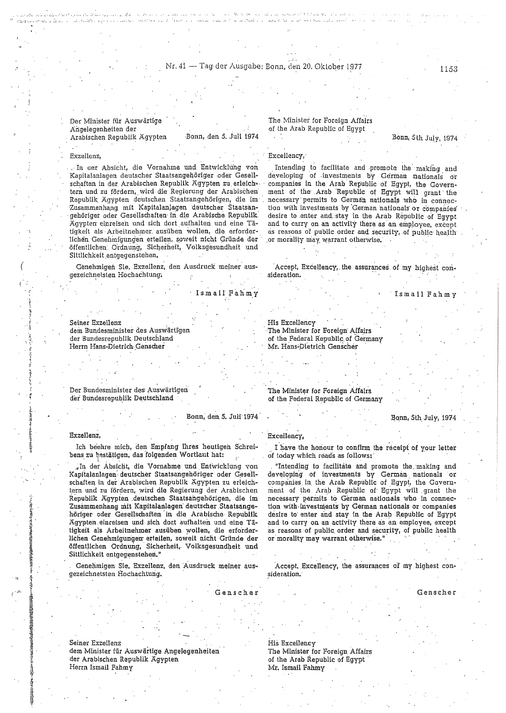Nr. 41 - Tag der Ausgabe: Bonn, den 20. Oktober 1977

Der Minister für Auswärtige Angelegenheiten der

Arabischen Republik Ägypten

Bonn, den 5. Juli 1974

 $Fvz$ allan $\tau$ 

. In der Absicht, die Vornahme und Entwicklung von Kapitalanlagen deutscher Staatsangehöriger oder Gesellschaften in der Arabischen Republik Ägypten zu erleichtern und zu fördern, wird die Regierung der Arabischen Republik Ägypten deutschen Staatsangehörigen, die im Zusammenhang mit Kapitalanlagen deutscher Staatsangehöriger oder Gesellschaften in die Arabische Republik Ägypten einreisen und sich dort aufhalten und eine Tätigkeit als Arbeitnehmer ausüben wollen, die erforderlichen Genehmigungen erteilen, soweit nicht Gründe der öffentlichen Ordnung, Sicherheit, Volksgesundheit und Sittlichkeit entgegenstehen.

Genehmigen Sie, Exzellenz, den Ausdruck meiner ausgezeichnetsten Hochachtung.

Ismail Fahmy

# Seiner Exzellenz

dem Bundesminister des Auswärtigen der Bundesrepublik Deutschland Herrn Hans-Dietrich Genscher

Der Bundesminister des Auswärtigen der Bundesrepublik Deutschland

### Bonn, den 5. Juli 1974

Genscher

#### Exzellenz.

Ich beehre mich, den Empfang Ihres heutigen Schreibens zu hestätigen, das folgenden Wortlaut hat:

In der Absicht, die Vornahme und Entwicklung von Kapitalanlagen deutscher Staatsangehöriger oder Gesellschaften in der Arabischen Republik Ägypten zu erleichtern und zu fördern, wird die Regierung der Arabischen Republik Ägypten deutschen Staatsangehörigen, die im Zusammenhang mit Kapitalanlagen deutscher Staatsangehöriger oder Gesellschaften in die Arabische Republik Ägypten einreisen und sich dort aufhalten und eine Tätigkeit als Arbeitnehmer ausüben wollen, die erforderlichen Genehmigungen erteilen, soweit nicht Gründe der öffentlichen Ordnung, Sicherheit, Volksgesundheit und Sittlichkeit entgegenstehen."

Genehmigen Sie, Exzellenz, den Ausdruck meiner ausgezeichnetsten Hochachtung.

Seiner Exzellenz dem Minister für Auswärtige Angelegenheiten der Arabischen Republik Ägypten Herrn Ismail Fahmy

The Minister for Foreign Affairs of the Arab Republic of Eqypt

Bonn, 5th July, 1974

Ismail Fahmy

Bonn, 5th July, 1974

# Excellency,

Intending to facilitate and promote the making and developing of investments by German nationals or companies in the Arab Republic of Egypt, the Government of the Arab Republic of Egypt will grant the necessary permits to German nationals who in connection with investments by German nationals or companies desire to enter and stay in the Arab Republic of Egypt and to carry on an activity there as an employee, except as reasons of public order and security, of public health or morality may warrant otherwise.

Accept, Excellency, the assurances of my highest consideration.

His Excellency The Minister for Foreign Affairs of the Federal Republic of Germany Mr. Hans-Dietrich Genscher

The Minister for Foreign Affairs of the Federal Republic of Germany

Excellency,

I have the honour to confirm the receipt of your letter of today which reads as follows:

"Intending to facilitate and promote the making and developing of investments by German nationals or companies in the Arab Republic of Egypt, the Government of the Arab Republic of Egypt will grant the necessary permits to German nationals who in connection with investments by German nationals or companies desire to enter and stay in the Arab Republic of Egypt and to carry on an activity there as an employee, except as reasons of public order and security, of public health or morality may warrant otherwise."

Accept, Excellency, the assurances of my highest consideration.

Genecher

His Excellency The Minister for Foreign Affairs of the Arab Republic of Egypt Mr. Ismail Fahmy

1153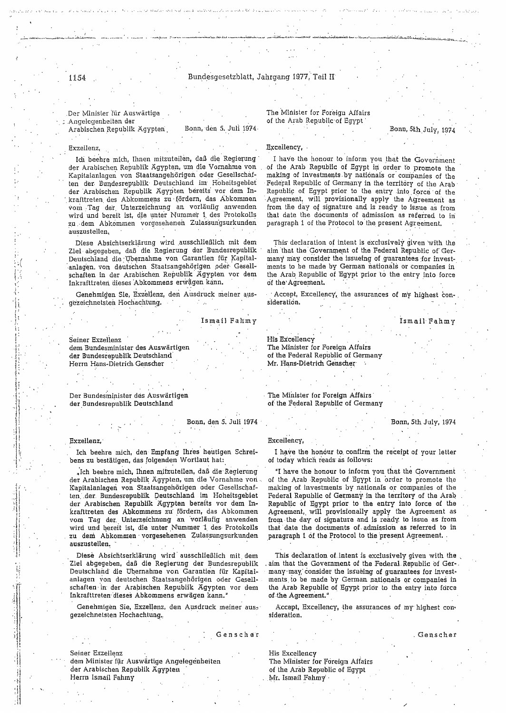Der Minister für Auswärtige Angelegenheiten der Bonn, den 5. Juli 1974. Arabischen Republik Ägypten

The Minister for Foreign Affairs of the Arab Republic of Egypt

Bonn, 5th July, 1974

### Excellency,

Ich beehre mich. Ihnen mitzuteilen, daß die Regierung der Arabischen Republik Ägypten, um die Vornahme von Kapitalanlagen von Staatsangehörigen oder Gesellschaften der Bundesrepublik Deutschland im Hoheitsgebiet der Arabischen Republik Agypten bereits vor dem Inkrafttreten des Abkommens zu fördern, das Abkommen vom Tag der Unterzeichnung an vorläufig anwenden wird und bereit ist, die unter Nummer 1 des Protokolls zu dem Abkommen vorgesehenen Zulassungsurkunden auszustellen.

Diese Absichtserklärung wird ausschließlich mit dem Ziel abgegeben, daß die Regierung der Bundesrepublik Deutschland die Übernahme von Garantien für Kapitalanlagen, von deutschen Staatsangehörigen oder Gesellschaften in der Arabischen Republik Ägypten vor dem Inkrafttreten dieses Abkommens erwägen kann.

Genehmigen Sie, Exzellenz, den Ausdruck meiner ausgezeichnetsten Hochachtung.

# Ismail Fahmy

Seiner Exzellenz dem Bundesminister des Auswärtigen der Bundesrepublik Deutschland Herrn Hans-Dietrich Genscher

Der Bundesminister des Auswärtigen der Bundesrepublik Deutschland

Bonn, den 5. Juli 1974

Exzellenz,

Ich beehre mich, den Empfang Ihres heutigen Schreibens zu bestätigen, das folgenden Wortlaut hat:

"Ich beehre mich, Ihnen mitzuteilen, daß die Regierung der Arabischen Republik Ägypten, um die Vornahme von Kapitalanlagen von Staatsangehörigen oder Gesellschaften der Bundesrepublik Deutschland im Hoheitsgebiet der Arabischen Republik Agypten bereits vor dem Inkrafttreten des Abkommens zu fördern, das Abkommen vom Tag der Unterzeichnung an vorläufig anwenden wird und bereit ist, die unter Nummer 1 des Protokolls zu dem Abkommen vorgesehenen Zulassungsurkunden auszustellen.

Diese Absichtserklärung wird ausschließlich mit dem Ziel abgegeben, daß die Regierung der Bundesrepublik Deutschland die Ubernahme von Garantien für Kapitalanlagen von deutschen Staatsangehörigen oder Gesellschaften in der Arabischen Republik Ägypten vor dem Inkrafttreten dieses Abkommens erwägen kann."

Genehmigen Sie, Exzellenz, den Ausdruck meiner ausgezeichnetsten Hochachtung.

Genscher

Seiner Exzellenz dem Minister für Auswärtige Angelegenheiten der Arabischen Republik Agypten Herrn Ismail Fahmy

I have the honour to inform you that the Government of the Arab Republic of Egypt in order to promote the making of investments by nationals or companies of the Federal Republic of Germany in the territory of the Arab Republic of Egypt prior to the entry into force of the Agreement, will provisionally apply the Agreement as from the day of signature and is ready to issue as from that date the documents of admission as referred to in paragraph 1 of the Protocol to the present Agreement.

This declaration of intent is exclusively given with the aim that the Government of the Federal Republic of Germany may consider the issueing of guarantees for investments to be made by German nationals or companies in the Arab Republic of Egypt prior to the entry into force of the Agreement.

Accept, Excellency, the assurances of my highest consideration.

Ismail Fahmy

His Excellency The Minister for Foreign Affairs of the Federal Republic of Germany Mr. Hans-Dietrich Genscher

The Minister for Foreign Affairs of the Federal Republic of Germany

Bonn, 5th July, 1974

### Excellency,

I have the honour to confirm the receipt of your letter of today which reads as follows:

I have the honour to inform you that the Government of the Arab Republic of Egypt in order to promote the making of investments by nationals or companies of the Federal Republic of Germany in the territory of the Arab Republic of Egypt prior to the entry into force of the Agreement, will provisionally apply the Agreement as from the day of signature and is ready to issue as from that date the documents of admission as referred to in paragraph 1 of the Protocol to the present Agreement. .

This declaration of intent is exclusively given with the aim that the Government of the Federal Republic of Ger-. many may consider the issueing of quarantees for investments to be made by German nationals or companies in the Arab Republic of Egypt prior to the entry into force of the Agreement."

Accept, Excellency, the assurances of my highest consideration.

Genscher

His Excellency The Minister for Foreign Affairs of the Arab Republic of Egypt Mr. Ismail Fahmy

Exzellenz,